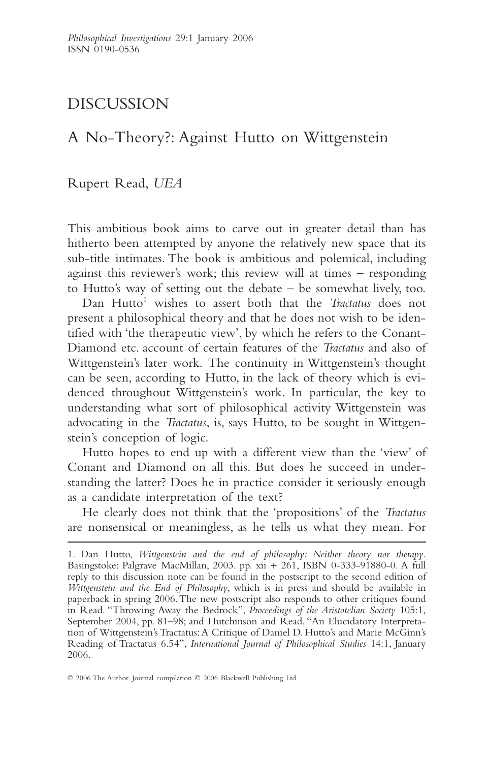## DISCUSSION

## A No-Theory?: Against Hutto on Wittgenstein

Rupert Read, *UEA*

This ambitious book aims to carve out in greater detail than has hitherto been attempted by anyone the relatively new space that its sub-title intimates. The book is ambitious and polemical, including against this reviewer's work; this review will at times – responding to Hutto's way of setting out the debate – be somewhat lively, too.

Dan Hutto<sup>1</sup> wishes to assert both that the *Tractatus* does not present a philosophical theory and that he does not wish to be identified with 'the therapeutic view', by which he refers to the Conant-Diamond etc. account of certain features of the *Tractatus* and also of Wittgenstein's later work. The continuity in Wittgenstein's thought can be seen, according to Hutto, in the lack of theory which is evidenced throughout Wittgenstein's work. In particular, the key to understanding what sort of philosophical activity Wittgenstein was advocating in the *Tractatus*, is, says Hutto, to be sought in Wittgenstein's conception of logic.

Hutto hopes to end up with a different view than the 'view' of Conant and Diamond on all this. But does he succeed in understanding the latter? Does he in practice consider it seriously enough as a candidate interpretation of the text?

He clearly does not think that the 'propositions' of the *Tractatus* are nonsensical or meaningless, as he tells us what they mean. For

<sup>1.</sup> Dan Hutto, *Wittgenstein and the end of philosophy: Neither theory nor therapy*. Basingstoke: Palgrave MacMillan, 2003. pp. xii + 261, ISBN 0-333-91880-0. A full reply to this discussion note can be found in the postscript to the second edition of *Wittgenstein and the End of Philosophy*, which is in press and should be available in paperback in spring 2006.The new postscript also responds to other critiques found in Read. "Throwing Away the Bedrock", *Proceedings of the Aristotelian Society* 105:1, September 2004, pp. 81–98; and Hutchinson and Read. "An Elucidatory Interpretation of Wittgenstein's Tractatus:A Critique of Daniel D. Hutto's and Marie McGinn's Reading of Tractatus 6.54", *International Journal of Philosophical Studies* 14:1, January 2006.

<sup>© 2006</sup> The Author. Journal compilation © 2006 Blackwell Publishing Ltd.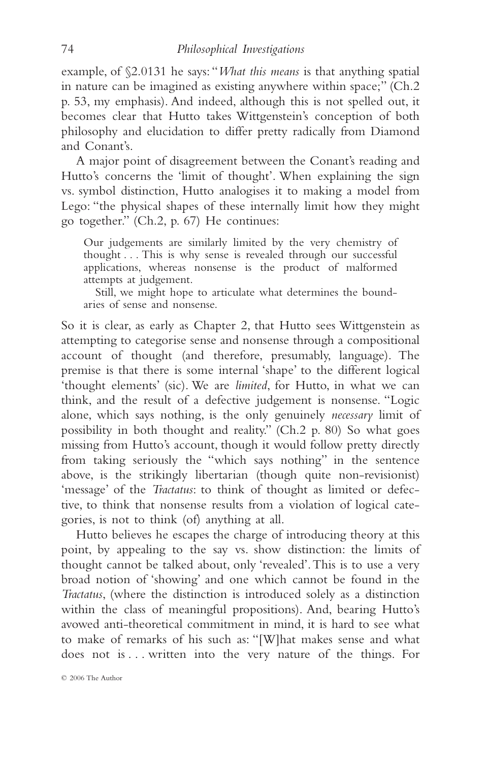example, of §2.0131 he says:"*What this means* is that anything spatial in nature can be imagined as existing anywhere within space;" (Ch.2 p. 53, my emphasis). And indeed, although this is not spelled out, it becomes clear that Hutto takes Wittgenstein's conception of both philosophy and elucidation to differ pretty radically from Diamond and Conant's.

A major point of disagreement between the Conant's reading and Hutto's concerns the 'limit of thought'. When explaining the sign vs. symbol distinction, Hutto analogises it to making a model from Lego: "the physical shapes of these internally limit how they might go together." (Ch.2, p. 67) He continues:

Our judgements are similarly limited by the very chemistry of thought ... This is why sense is revealed through our successful applications, whereas nonsense is the product of malformed attempts at judgement.

Still, we might hope to articulate what determines the boundaries of sense and nonsense.

So it is clear, as early as Chapter 2, that Hutto sees Wittgenstein as attempting to categorise sense and nonsense through a compositional account of thought (and therefore, presumably, language). The premise is that there is some internal 'shape' to the different logical 'thought elements' (sic). We are *limited*, for Hutto, in what we can think, and the result of a defective judgement is nonsense. "Logic alone, which says nothing, is the only genuinely *necessary* limit of possibility in both thought and reality." (Ch.2 p. 80) So what goes missing from Hutto's account, though it would follow pretty directly from taking seriously the "which says nothing" in the sentence above, is the strikingly libertarian (though quite non-revisionist) 'message' of the *Tractatus*: to think of thought as limited or defective, to think that nonsense results from a violation of logical categories, is not to think (of) anything at all.

Hutto believes he escapes the charge of introducing theory at this point, by appealing to the say vs. show distinction: the limits of thought cannot be talked about, only 'revealed'.This is to use a very broad notion of 'showing' and one which cannot be found in the *Tractatus*, (where the distinction is introduced solely as a distinction within the class of meaningful propositions). And, bearing Hutto's avowed anti-theoretical commitment in mind, it is hard to see what to make of remarks of his such as: "[W]hat makes sense and what does not is . . . written into the very nature of the things. For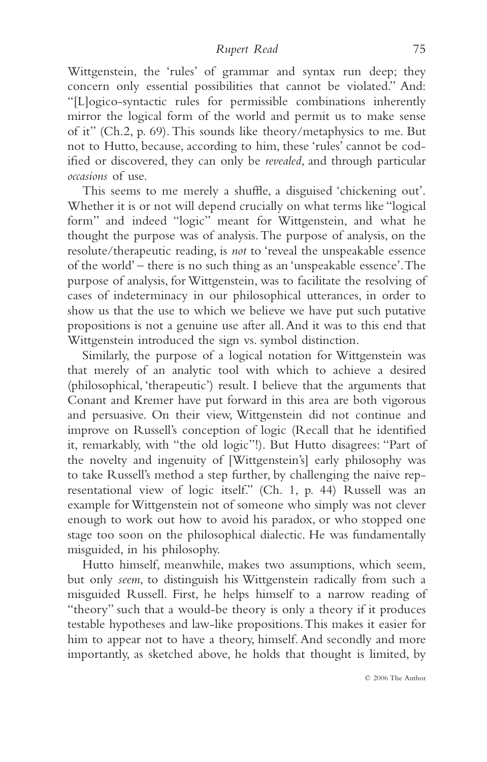Wittgenstein, the 'rules' of grammar and syntax run deep; they concern only essential possibilities that cannot be violated." And: "[L]ogico-syntactic rules for permissible combinations inherently mirror the logical form of the world and permit us to make sense of it" (Ch.2, p. 69). This sounds like theory/metaphysics to me. But not to Hutto, because, according to him, these 'rules' cannot be codified or discovered, they can only be *revealed*, and through particular *occasions* of use.

This seems to me merely a shuffle, a disguised 'chickening out'. Whether it is or not will depend crucially on what terms like "logical form" and indeed "logic" meant for Wittgenstein, and what he thought the purpose was of analysis.The purpose of analysis, on the resolute/therapeutic reading, is *not* to 'reveal the unspeakable essence of the world' – there is no such thing as an 'unspeakable essence'.The purpose of analysis, for Wittgenstein, was to facilitate the resolving of cases of indeterminacy in our philosophical utterances, in order to show us that the use to which we believe we have put such putative propositions is not a genuine use after all.And it was to this end that Wittgenstein introduced the sign vs. symbol distinction.

Similarly, the purpose of a logical notation for Wittgenstein was that merely of an analytic tool with which to achieve a desired (philosophical, 'therapeutic') result. I believe that the arguments that Conant and Kremer have put forward in this area are both vigorous and persuasive. On their view, Wittgenstein did not continue and improve on Russell's conception of logic (Recall that he identified it, remarkably, with "the old logic"!). But Hutto disagrees: "Part of the novelty and ingenuity of [Wittgenstein's] early philosophy was to take Russell's method a step further, by challenging the naive representational view of logic itself." (Ch. 1, p. 44) Russell was an example for Wittgenstein not of someone who simply was not clever enough to work out how to avoid his paradox, or who stopped one stage too soon on the philosophical dialectic. He was fundamentally misguided, in his philosophy.

Hutto himself, meanwhile, makes two assumptions, which seem, but only *seem*, to distinguish his Wittgenstein radically from such a misguided Russell. First, he helps himself to a narrow reading of "theory" such that a would-be theory is only a theory if it produces testable hypotheses and law-like propositions.This makes it easier for him to appear not to have a theory, himself. And secondly and more importantly, as sketched above, he holds that thought is limited, by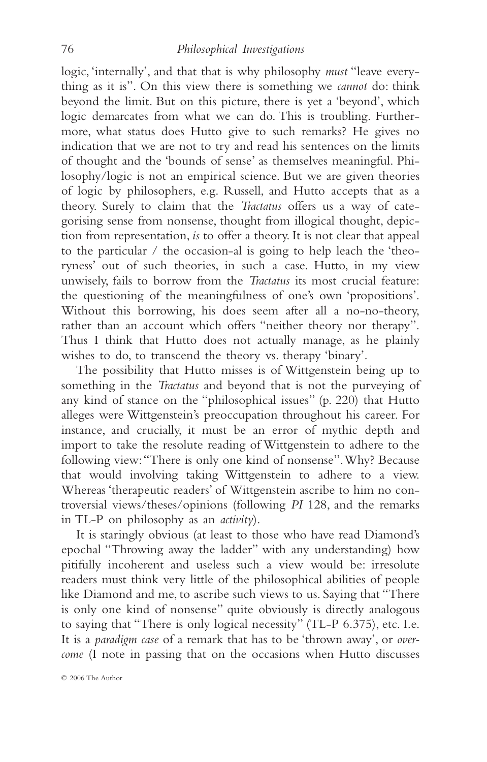logic, 'internally', and that that is why philosophy *must* "leave everything as it is". On this view there is something we *cannot* do: think beyond the limit. But on this picture, there is yet a 'beyond', which logic demarcates from what we can do. This is troubling. Furthermore, what status does Hutto give to such remarks? He gives no indication that we are not to try and read his sentences on the limits of thought and the 'bounds of sense' as themselves meaningful. Philosophy/logic is not an empirical science. But we are given theories of logic by philosophers, e.g. Russell, and Hutto accepts that as a theory. Surely to claim that the *Tractatus* offers us a way of categorising sense from nonsense, thought from illogical thought, depiction from representation, *is* to offer a theory. It is not clear that appeal to the particular / the occasion-al is going to help leach the 'theoryness' out of such theories, in such a case. Hutto, in my view unwisely, fails to borrow from the *Tractatus* its most crucial feature: the questioning of the meaningfulness of one's own 'propositions'. Without this borrowing, his does seem after all a no-no-theory, rather than an account which offers "neither theory nor therapy". Thus I think that Hutto does not actually manage, as he plainly wishes to do, to transcend the theory vs. therapy 'binary'.

The possibility that Hutto misses is of Wittgenstein being up to something in the *Tractatus* and beyond that is not the purveying of any kind of stance on the "philosophical issues" (p. 220) that Hutto alleges were Wittgenstein's preoccupation throughout his career. For instance, and crucially, it must be an error of mythic depth and import to take the resolute reading of Wittgenstein to adhere to the following view:"There is only one kind of nonsense".Why? Because that would involving taking Wittgenstein to adhere to a view. Whereas 'therapeutic readers' of Wittgenstein ascribe to him no controversial views/theses/opinions (following *PI* 128, and the remarks in TL-P on philosophy as an *activity*).

It is staringly obvious (at least to those who have read Diamond's epochal "Throwing away the ladder" with any understanding) how pitifully incoherent and useless such a view would be: irresolute readers must think very little of the philosophical abilities of people like Diamond and me, to ascribe such views to us. Saying that "There is only one kind of nonsense" quite obviously is directly analogous to saying that "There is only logical necessity" (TL-P 6.375), etc. I.e. It is a *paradigm case* of a remark that has to be 'thrown away', or *overcome* (I note in passing that on the occasions when Hutto discusses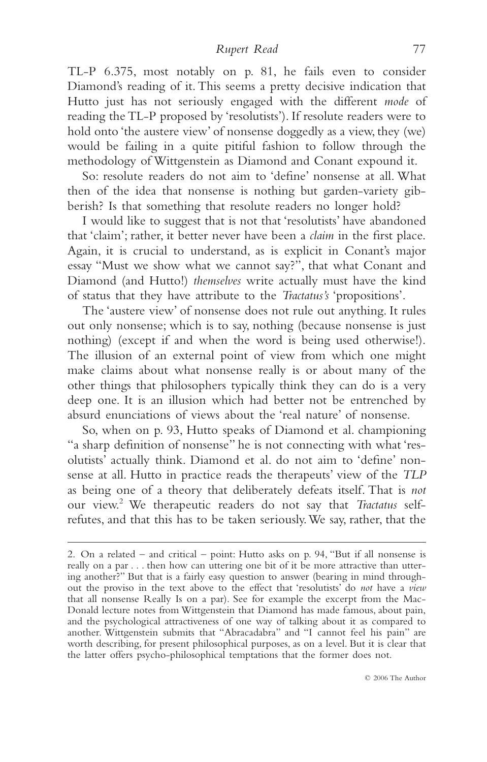TL-P 6.375, most notably on p. 81, he fails even to consider Diamond's reading of it. This seems a pretty decisive indication that Hutto just has not seriously engaged with the different *mode* of reading the TL-P proposed by 'resolutists'). If resolute readers were to hold onto 'the austere view' of nonsense doggedly as a view, they (we) would be failing in a quite pitiful fashion to follow through the methodology of Wittgenstein as Diamond and Conant expound it.

So: resolute readers do not aim to 'define' nonsense at all. What then of the idea that nonsense is nothing but garden-variety gibberish? Is that something that resolute readers no longer hold?

I would like to suggest that is not that 'resolutists' have abandoned that 'claim'; rather, it better never have been a *claim* in the first place. Again, it is crucial to understand, as is explicit in Conant's major essay "Must we show what we cannot say?", that what Conant and Diamond (and Hutto!) *themselves* write actually must have the kind of status that they have attribute to the *Tractatus's* 'propositions'.

The 'austere view' of nonsense does not rule out anything. It rules out only nonsense; which is to say, nothing (because nonsense is just nothing) (except if and when the word is being used otherwise!). The illusion of an external point of view from which one might make claims about what nonsense really is or about many of the other things that philosophers typically think they can do is a very deep one. It is an illusion which had better not be entrenched by absurd enunciations of views about the 'real nature' of nonsense.

So, when on p. 93, Hutto speaks of Diamond et al. championing "a sharp definition of nonsense" he is not connecting with what 'resolutists' actually think. Diamond et al. do not aim to 'define' nonsense at all. Hutto in practice reads the therapeuts' view of the *TLP* as being one of a theory that deliberately defeats itself. That is *not* our view.2 We therapeutic readers do not say that *Tractatus* selfrefutes, and that this has to be taken seriously.We say, rather, that the

<sup>2.</sup> On a related – and critical – point: Hutto asks on p. 94, "But if all nonsense is really on a par ... then how can uttering one bit of it be more attractive than uttering another?" But that is a fairly easy question to answer (bearing in mind throughout the proviso in the text above to the effect that 'resolutists' do *not* have a *view* that all nonsense Really Is on a par). See for example the excerpt from the Mac-Donald lecture notes from Wittgenstein that Diamond has made famous, about pain, and the psychological attractiveness of one way of talking about it as compared to another. Wittgenstein submits that "Abracadabra" and "I cannot feel his pain" are worth describing, for present philosophical purposes, as on a level. But it is clear that the latter offers psycho-philosophical temptations that the former does not.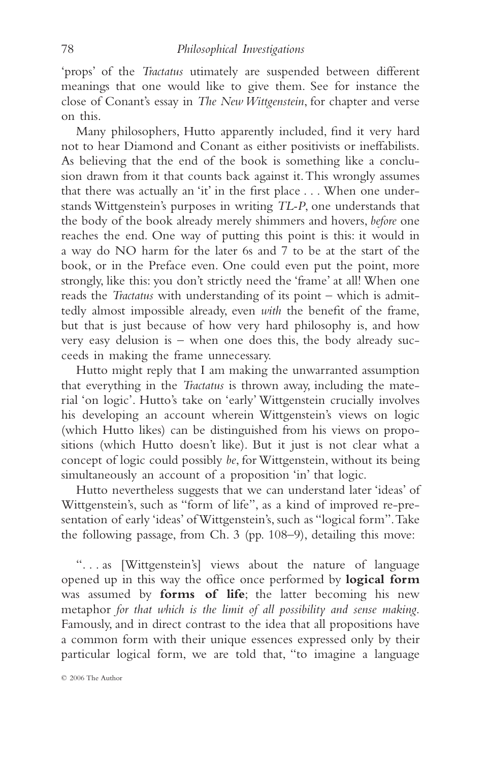'props' of the *Tractatus* utimately are suspended between different meanings that one would like to give them. See for instance the close of Conant's essay in *The New Wittgenstein*, for chapter and verse on this.

Many philosophers, Hutto apparently included, find it very hard not to hear Diamond and Conant as either positivists or ineffabilists. As believing that the end of the book is something like a conclusion drawn from it that counts back against it.This wrongly assumes that there was actually an 'it' in the first place ...When one understands Wittgenstein's purposes in writing *TL-P*, one understands that the body of the book already merely shimmers and hovers, *before* one reaches the end. One way of putting this point is this: it would in a way do NO harm for the later 6s and 7 to be at the start of the book, or in the Preface even. One could even put the point, more strongly, like this: you don't strictly need the 'frame' at all! When one reads the *Tractatus* with understanding of its point – which is admittedly almost impossible already, even *with* the benefit of the frame, but that is just because of how very hard philosophy is, and how very easy delusion is – when one does this, the body already succeeds in making the frame unnecessary.

Hutto might reply that I am making the unwarranted assumption that everything in the *Tractatus* is thrown away, including the material 'on logic'. Hutto's take on 'early' Wittgenstein crucially involves his developing an account wherein Wittgenstein's views on logic (which Hutto likes) can be distinguished from his views on propositions (which Hutto doesn't like). But it just is not clear what a concept of logic could possibly *be*, for Wittgenstein, without its being simultaneously an account of a proposition 'in' that logic.

Hutto nevertheless suggests that we can understand later 'ideas' of Wittgenstein's, such as "form of life", as a kind of improved re-presentation of early 'ideas' of Wittgenstein's, such as "logical form".Take the following passage, from Ch. 3 (pp. 108–9), detailing this move:

". . . as [Wittgenstein's] views about the nature of language opened up in this way the office once performed by **logical form** was assumed by **forms of life**; the latter becoming his new metaphor *for that which is the limit of all possibility and sense making*. Famously, and in direct contrast to the idea that all propositions have a common form with their unique essences expressed only by their particular logical form, we are told that, "to imagine a language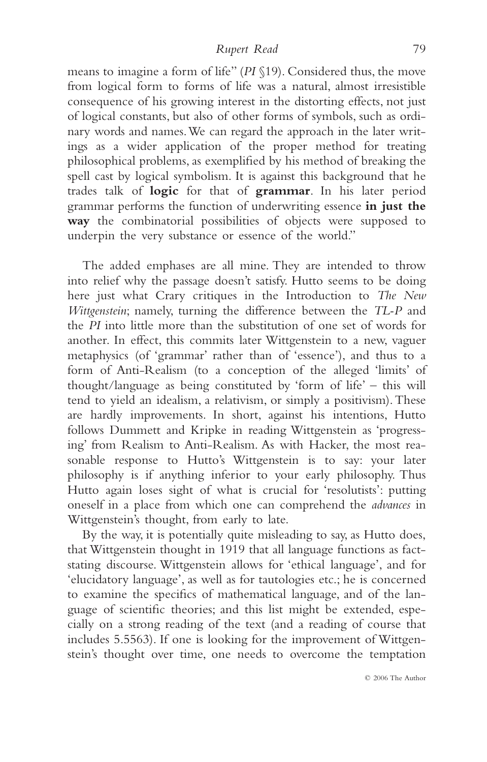means to imagine a form of life" (*PI* §19). Considered thus, the move from logical form to forms of life was a natural, almost irresistible consequence of his growing interest in the distorting effects, not just of logical constants, but also of other forms of symbols, such as ordinary words and names.We can regard the approach in the later writings as a wider application of the proper method for treating philosophical problems, as exemplified by his method of breaking the spell cast by logical symbolism. It is against this background that he trades talk of **logic** for that of **grammar**. In his later period grammar performs the function of underwriting essence **in just the way** the combinatorial possibilities of objects were supposed to underpin the very substance or essence of the world."

The added emphases are all mine. They are intended to throw into relief why the passage doesn't satisfy. Hutto seems to be doing here just what Crary critiques in the Introduction to *The New Wittgenstein*; namely, turning the difference between the *TL-P* and the *PI* into little more than the substitution of one set of words for another. In effect, this commits later Wittgenstein to a new, vaguer metaphysics (of 'grammar' rather than of 'essence'), and thus to a form of Anti-Realism (to a conception of the alleged 'limits' of thought/language as being constituted by 'form of life' – this will tend to yield an idealism, a relativism, or simply a positivism).These are hardly improvements. In short, against his intentions, Hutto follows Dummett and Kripke in reading Wittgenstein as 'progressing' from Realism to Anti-Realism. As with Hacker, the most reasonable response to Hutto's Wittgenstein is to say: your later philosophy is if anything inferior to your early philosophy. Thus Hutto again loses sight of what is crucial for 'resolutists': putting oneself in a place from which one can comprehend the *advances* in Wittgenstein's thought, from early to late.

By the way, it is potentially quite misleading to say, as Hutto does, that Wittgenstein thought in 1919 that all language functions as factstating discourse. Wittgenstein allows for 'ethical language', and for 'elucidatory language', as well as for tautologies etc.; he is concerned to examine the specifics of mathematical language, and of the language of scientific theories; and this list might be extended, especially on a strong reading of the text (and a reading of course that includes 5.5563). If one is looking for the improvement of Wittgenstein's thought over time, one needs to overcome the temptation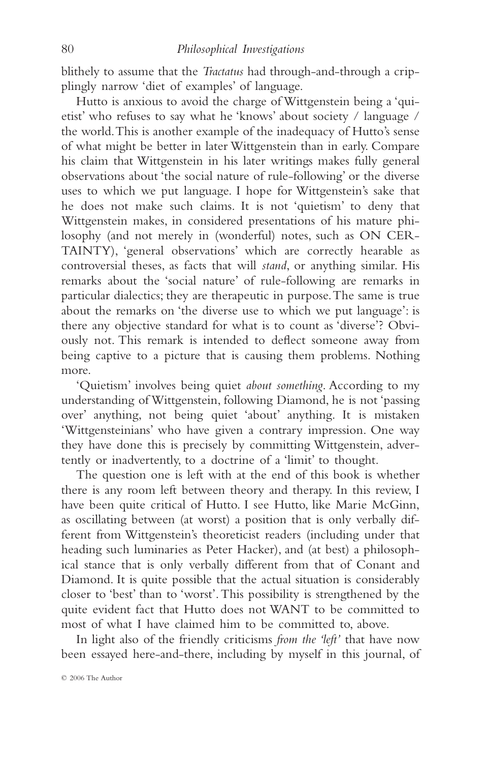blithely to assume that the *Tractatus* had through-and-through a cripplingly narrow 'diet of examples' of language.

Hutto is anxious to avoid the charge of Wittgenstein being a 'quietist' who refuses to say what he 'knows' about society / language / the world.This is another example of the inadequacy of Hutto's sense of what might be better in later Wittgenstein than in early. Compare his claim that Wittgenstein in his later writings makes fully general observations about 'the social nature of rule-following' or the diverse uses to which we put language. I hope for Wittgenstein's sake that he does not make such claims. It is not 'quietism' to deny that Wittgenstein makes, in considered presentations of his mature philosophy (and not merely in (wonderful) notes, such as ON CER-TAINTY), 'general observations' which are correctly hearable as controversial theses, as facts that will *stand*, or anything similar. His remarks about the 'social nature' of rule-following are remarks in particular dialectics; they are therapeutic in purpose.The same is true about the remarks on 'the diverse use to which we put language': is there any objective standard for what is to count as 'diverse'? Obviously not. This remark is intended to deflect someone away from being captive to a picture that is causing them problems. Nothing more.

'Quietism' involves being quiet *about something*. According to my understanding of Wittgenstein, following Diamond, he is not 'passing over' anything, not being quiet 'about' anything. It is mistaken 'Wittgensteinians' who have given a contrary impression. One way they have done this is precisely by committing Wittgenstein, advertently or inadvertently, to a doctrine of a 'limit' to thought.

The question one is left with at the end of this book is whether there is any room left between theory and therapy. In this review, I have been quite critical of Hutto. I see Hutto, like Marie McGinn, as oscillating between (at worst) a position that is only verbally different from Wittgenstein's theoreticist readers (including under that heading such luminaries as Peter Hacker), and (at best) a philosophical stance that is only verbally different from that of Conant and Diamond. It is quite possible that the actual situation is considerably closer to 'best' than to 'worst'.This possibility is strengthened by the quite evident fact that Hutto does not WANT to be committed to most of what I have claimed him to be committed to, above.

In light also of the friendly criticisms *from the 'left'* that have now been essayed here-and-there, including by myself in this journal, of